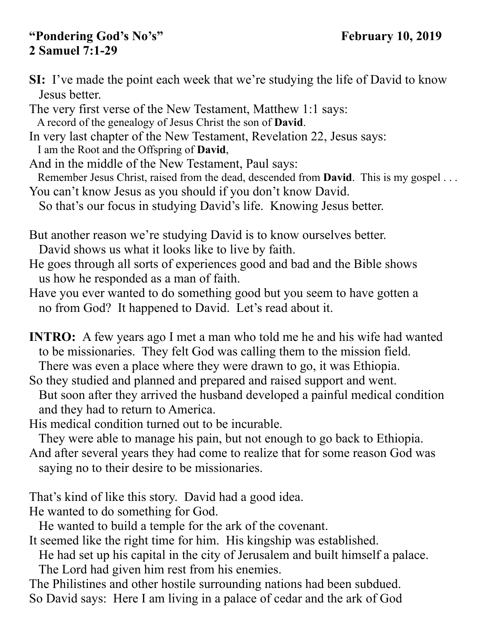## "Pondering God's No's" February 10, 2019 **2 Samuel 7:1-29**

**SI:** I've made the point each week that we're studying the life of David to know Jesus better.

The very first verse of the New Testament, Matthew 1:1 says: A record of the genealogy of Jesus Christ the son of **David**.

In very last chapter of the New Testament, Revelation 22, Jesus says: I am the Root and the Offspring of **David**,

And in the middle of the New Testament, Paul says:

Remember Jesus Christ, raised from the dead, descended from **David**. This is my gospel . . .

You can't know Jesus as you should if you don't know David.

So that's our focus in studying David's life. Knowing Jesus better.

But another reason we're studying David is to know ourselves better.

David shows us what it looks like to live by faith.

He goes through all sorts of experiences good and bad and the Bible shows us how he responded as a man of faith.

Have you ever wanted to do something good but you seem to have gotten a no from God? It happened to David. Let's read about it.

**INTRO:** A few years ago I met a man who told me he and his wife had wanted to be missionaries. They felt God was calling them to the mission field. There was even a place where they were drawn to go, it was Ethiopia.

So they studied and planned and prepared and raised support and went.

 But soon after they arrived the husband developed a painful medical condition and they had to return to America.

His medical condition turned out to be incurable.

They were able to manage his pain, but not enough to go back to Ethiopia.

And after several years they had come to realize that for some reason God was saying no to their desire to be missionaries.

That's kind of like this story. David had a good idea.

He wanted to do something for God.

He wanted to build a temple for the ark of the covenant.

It seemed like the right time for him. His kingship was established.

He had set up his capital in the city of Jerusalem and built himself a palace.

The Lord had given him rest from his enemies.

The Philistines and other hostile surrounding nations had been subdued. So David says: Here I am living in a palace of cedar and the ark of God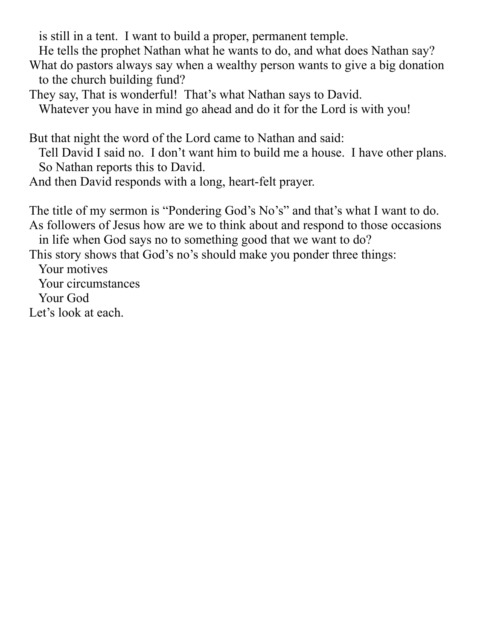is still in a tent. I want to build a proper, permanent temple.

He tells the prophet Nathan what he wants to do, and what does Nathan say?

What do pastors always say when a wealthy person wants to give a big donation to the church building fund?

They say, That is wonderful! That's what Nathan says to David.

Whatever you have in mind go ahead and do it for the Lord is with you!

But that night the word of the Lord came to Nathan and said:

 Tell David I said no. I don't want him to build me a house. I have other plans. So Nathan reports this to David.

And then David responds with a long, heart-felt prayer.

The title of my sermon is "Pondering God's No's" and that's what I want to do. As followers of Jesus how are we to think about and respond to those occasions in life when God says no to something good that we want to do?

This story shows that God's no's should make you ponder three things:

 Your motives Your circumstances Your God

Let's look at each.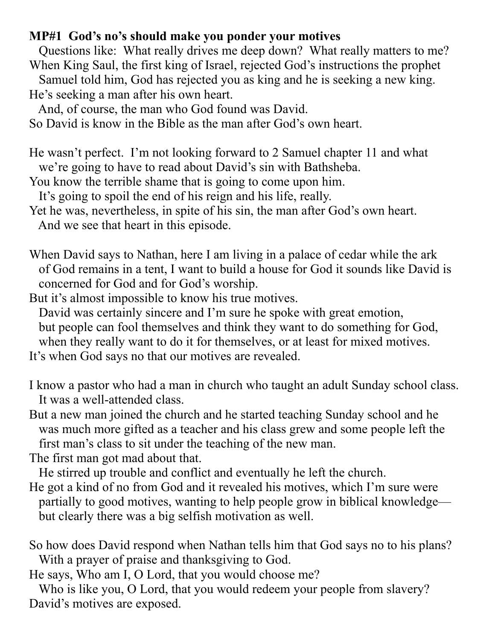## **MP#1 God's no's should make you ponder your motives**

 Questions like: What really drives me deep down? What really matters to me? When King Saul, the first king of Israel, rejected God's instructions the prophet

 Samuel told him, God has rejected you as king and he is seeking a new king. He's seeking a man after his own heart.

And, of course, the man who God found was David.

So David is know in the Bible as the man after God's own heart.

He wasn't perfect. I'm not looking forward to 2 Samuel chapter 11 and what we're going to have to read about David's sin with Bathsheba.

You know the terrible shame that is going to come upon him.

It's going to spoil the end of his reign and his life, really.

Yet he was, nevertheless, in spite of his sin, the man after God's own heart. And we see that heart in this episode.

When David says to Nathan, here I am living in a palace of cedar while the ark of God remains in a tent, I want to build a house for God it sounds like David is concerned for God and for God's worship.

But it's almost impossible to know his true motives.

 David was certainly sincere and I'm sure he spoke with great emotion, but people can fool themselves and think they want to do something for God, when they really want to do it for themselves, or at least for mixed motives. It's when God says no that our motives are revealed.

I know a pastor who had a man in church who taught an adult Sunday school class. It was a well-attended class.

But a new man joined the church and he started teaching Sunday school and he was much more gifted as a teacher and his class grew and some people left the first man's class to sit under the teaching of the new man.

The first man got mad about that.

He stirred up trouble and conflict and eventually he left the church.

- He got a kind of no from God and it revealed his motives, which I'm sure were partially to good motives, wanting to help people grow in biblical knowledge but clearly there was a big selfish motivation as well.
- So how does David respond when Nathan tells him that God says no to his plans? With a prayer of praise and thanksgiving to God.

He says, Who am I, O Lord, that you would choose me?

 Who is like you, O Lord, that you would redeem your people from slavery? David's motives are exposed.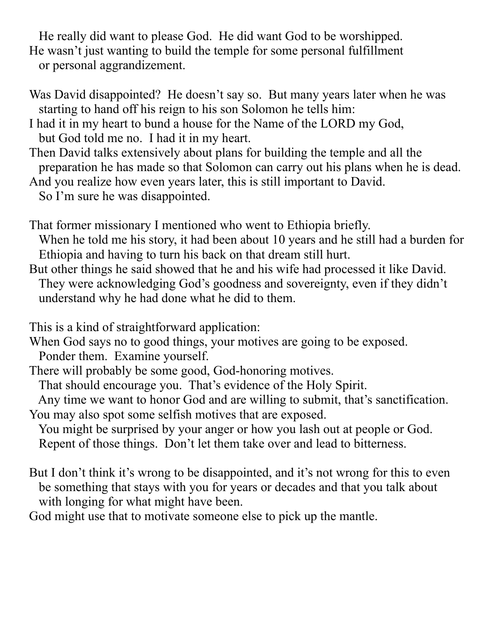He really did want to please God. He did want God to be worshipped. He wasn't just wanting to build the temple for some personal fulfillment or personal aggrandizement.

- Was David disappointed? He doesn't say so. But many years later when he was starting to hand off his reign to his son Solomon he tells him:
- I had it in my heart to bund a house for the Name of the LORD my God, but God told me no. I had it in my heart.
- Then David talks extensively about plans for building the temple and all the preparation he has made so that Solomon can carry out his plans when he is dead. And you realize how even years later, this is still important to David.
- So I'm sure he was disappointed.
- That former missionary I mentioned who went to Ethiopia briefly.
- When he told me his story, it had been about 10 years and he still had a burden for Ethiopia and having to turn his back on that dream still hurt.
- But other things he said showed that he and his wife had processed it like David. They were acknowledging God's goodness and sovereignty, even if they didn't understand why he had done what he did to them.

This is a kind of straightforward application:

When God says no to good things, your motives are going to be exposed.

Ponder them. Examine yourself.

There will probably be some good, God-honoring motives.

That should encourage you. That's evidence of the Holy Spirit.

 Any time we want to honor God and are willing to submit, that's sanctification. You may also spot some selfish motives that are exposed.

 You might be surprised by your anger or how you lash out at people or God. Repent of those things. Don't let them take over and lead to bitterness.

- But I don't think it's wrong to be disappointed, and it's not wrong for this to even be something that stays with you for years or decades and that you talk about with longing for what might have been.
- God might use that to motivate someone else to pick up the mantle.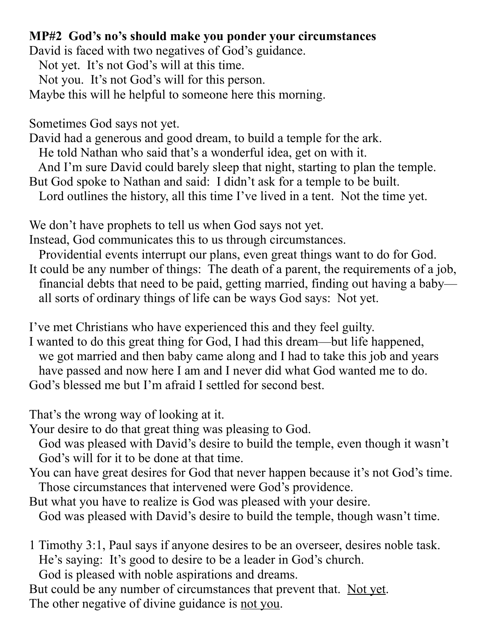## **MP#2 God's no's should make you ponder your circumstances**

David is faced with two negatives of God's guidance.

Not yet. It's not God's will at this time.

Not you. It's not God's will for this person.

Maybe this will he helpful to someone here this morning.

Sometimes God says not yet.

David had a generous and good dream, to build a temple for the ark.

He told Nathan who said that's a wonderful idea, get on with it.

And I'm sure David could barely sleep that night, starting to plan the temple.

But God spoke to Nathan and said: I didn't ask for a temple to be built.

Lord outlines the history, all this time I've lived in a tent. Not the time yet.

We don't have prophets to tell us when God says not yet.

Instead, God communicates this to us through circumstances.

 Providential events interrupt our plans, even great things want to do for God. It could be any number of things: The death of a parent, the requirements of a job, financial debts that need to be paid, getting married, finding out having a baby all sorts of ordinary things of life can be ways God says: Not yet.

I've met Christians who have experienced this and they feel guilty.

I wanted to do this great thing for God, I had this dream—but life happened, we got married and then baby came along and I had to take this job and years have passed and now here I am and I never did what God wanted me to do. God's blessed me but I'm afraid I settled for second best.

That's the wrong way of looking at it.

Your desire to do that great thing was pleasing to God.

 God was pleased with David's desire to build the temple, even though it wasn't God's will for it to be done at that time.

You can have great desires for God that never happen because it's not God's time. Those circumstances that intervened were God's providence.

- But what you have to realize is God was pleased with your desire.
- God was pleased with David's desire to build the temple, though wasn't time.

1 Timothy 3:1, Paul says if anyone desires to be an overseer, desires noble task. He's saying: It's good to desire to be a leader in God's church.

God is pleased with noble aspirations and dreams.

But could be any number of circumstances that prevent that. Not yet. The other negative of divine guidance is not you.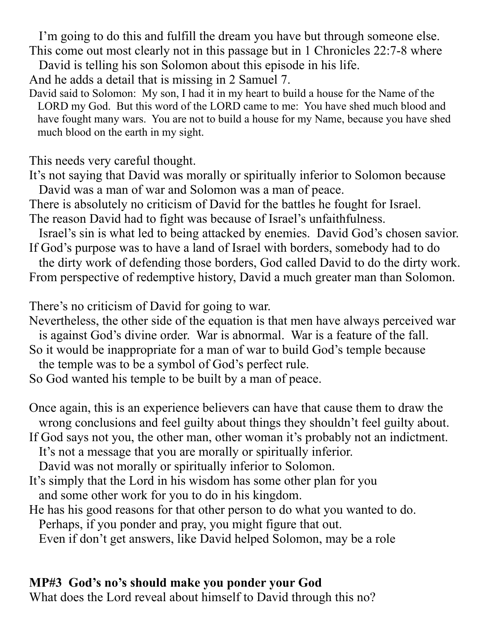I'm going to do this and fulfill the dream you have but through someone else. This come out most clearly not in this passage but in 1 Chronicles 22:7-8 where

David is telling his son Solomon about this episode in his life.

And he adds a detail that is missing in 2 Samuel 7.

David said to Solomon: My son, I had it in my heart to build a house for the Name of the LORD my God. But this word of the LORD came to me: You have shed much blood and have fought many wars. You are not to build a house for my Name, because you have shed much blood on the earth in my sight.

This needs very careful thought.

It's not saying that David was morally or spiritually inferior to Solomon because David was a man of war and Solomon was a man of peace.

There is absolutely no criticism of David for the battles he fought for Israel. The reason David had to fight was because of Israel's unfaithfulness.

 Israel's sin is what led to being attacked by enemies. David God's chosen savior. If God's purpose was to have a land of Israel with borders, somebody had to do

 the dirty work of defending those borders, God called David to do the dirty work. From perspective of redemptive history, David a much greater man than Solomon.

There's no criticism of David for going to war.

Nevertheless, the other side of the equation is that men have always perceived war is against God's divine order. War is abnormal. War is a feature of the fall.

So it would be inappropriate for a man of war to build God's temple because

the temple was to be a symbol of God's perfect rule.

So God wanted his temple to be built by a man of peace.

Once again, this is an experience believers can have that cause them to draw the wrong conclusions and feel guilty about things they shouldn't feel guilty about.

If God says not you, the other man, other woman it's probably not an indictment.

It's not a message that you are morally or spiritually inferior.

David was not morally or spiritually inferior to Solomon.

- It's simply that the Lord in his wisdom has some other plan for you and some other work for you to do in his kingdom.
- He has his good reasons for that other person to do what you wanted to do. Perhaps, if you ponder and pray, you might figure that out.

Even if don't get answers, like David helped Solomon, may be a role

## **MP#3 God's no's should make you ponder your God**

What does the Lord reveal about himself to David through this no?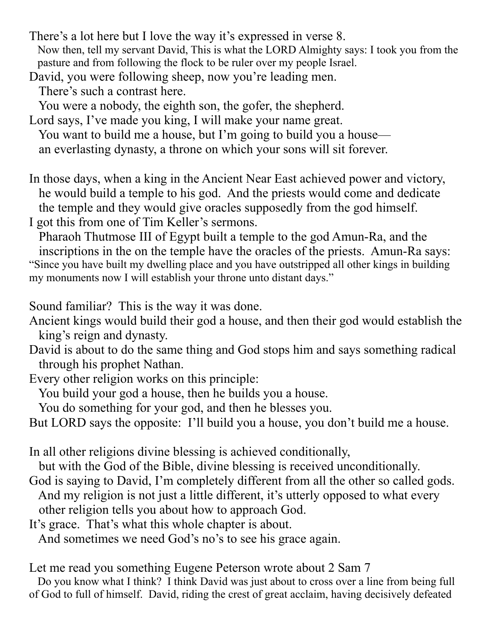- There's a lot here but I love the way it's expressed in verse 8. Now then, tell my servant David, This is what the LORD Almighty says: I took you from the pasture and from following the flock to be ruler over my people Israel.
- David, you were following sheep, now you're leading men. There's such a contrast here.

You were a nobody, the eighth son, the gofer, the shepherd.

Lord says, I've made you king, I will make your name great. You want to build me a house, but I'm going to build you a house an everlasting dynasty, a throne on which your sons will sit forever.

In those days, when a king in the Ancient Near East achieved power and victory, he would build a temple to his god. And the priests would come and dedicate the temple and they would give oracles supposedly from the god himself. I got this from one of Tim Keller's sermons.

 Pharaoh Thutmose III of Egypt built a temple to the god Amun-Ra, and the inscriptions in the on the temple have the oracles of the priests. Amun-Ra says: "Since you have built my dwelling place and you have outstripped all other kings in building my monuments now I will establish your throne unto distant days."

Sound familiar? This is the way it was done.

- Ancient kings would build their god a house, and then their god would establish the king's reign and dynasty.
- David is about to do the same thing and God stops him and says something radical through his prophet Nathan.
- Every other religion works on this principle:

You build your god a house, then he builds you a house.

You do something for your god, and then he blesses you.

But LORD says the opposite: I'll build you a house, you don't build me a house.

In all other religions divine blessing is achieved conditionally,

but with the God of the Bible, divine blessing is received unconditionally.

- God is saying to David, I'm completely different from all the other so called gods. And my religion is not just a little different, it's utterly opposed to what every other religion tells you about how to approach God.
- It's grace. That's what this whole chapter is about.

And sometimes we need God's no's to see his grace again.

Let me read you something Eugene Peterson wrote about 2 Sam 7

 Do you know what I think? I think David was just about to cross over a line from being full of God to full of himself. David, riding the crest of great acclaim, having decisively defeated